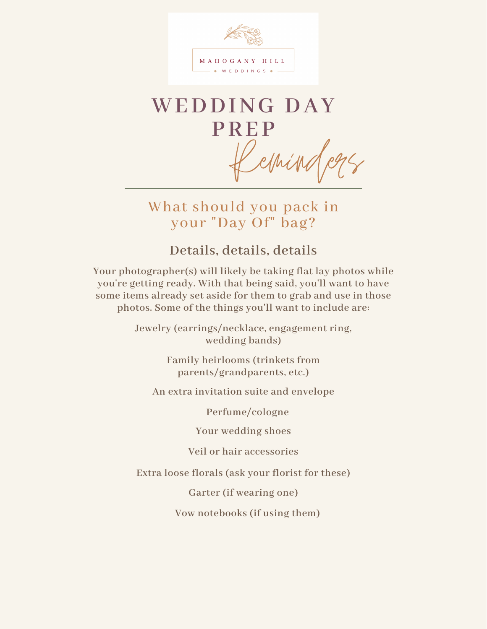

# **WEDDING DAY PREP** ething

What should you pack in your "Day Of" bag?

**Details, details, details**

**Your photographer(s) will likely be taking flat lay photos while you're getting ready. With that being said, you'll want to have some items already set aside for them to grab and use in those photos. Some of the things you'll want to include are:**

> **Jewelry (earrings/necklace, engagement ring, wedding bands)**

> > **Family heirlooms (trinkets from parents/grandparents, etc.)**

**An extra invitation suite and envelope**

**Perfume/cologne**

**Your wedding shoes**

**Veil or hair accessories**

**Extra loose florals (ask your florist for these)**

**Garter (if wearing one)**

**Vow notebooks (if using them)**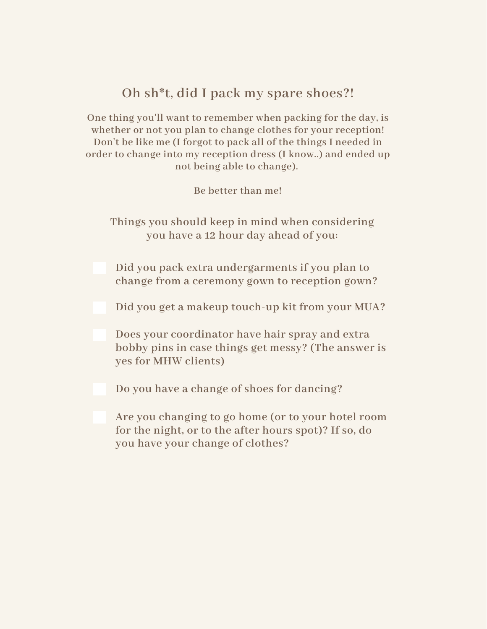# **Oh sh\*t, did I pack my spare shoes?!**

**One thing you'll want to remember when packing for the day, is whether or not you plan to change clothes for your reception! Don't be like me (I forgot to pack all of the things I needed in order to change into my reception dress (I know..) and ended up not being able to change).**

**Be better than me!**

**Things you should keep in mind when considering you have a 12 hour day ahead of you:**

**Did you pack extra undergarments if you plan to change from a ceremony gown to reception gown?**

**Did you get a makeup touch-up kit from your MUA?**

**Does your coordinator have hair spray and extra bobby pins in case things get messy? (The answer is yes for MHW clients)**

**Do you have a change of shoes for dancing?**

**Are you changing to go home (or to your hotel room for the night, or to the after hours spot)? If so, do you have your change of clothes?**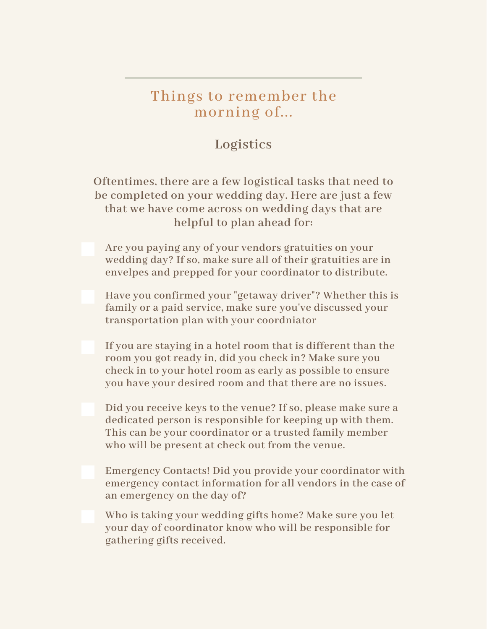# Things to remember the morning of...

# **Logistics**

**Oftentimes, there are a few logistical tasks that need to be completed on your wedding day. Here are just a few that we have come across on wedding days that are helpful to plan ahead for:**

**Are you paying any of your vendors gratuities on your wedding day? If so, make sure all of their gratuities are in envelpes and prepped for your coordinator to distribute.**

**Have you confirmed your "getaway driver"? Whether this is family or a paid service, make sure you've discussed your transportation plan with your coordniator**

**If you are staying in a hotel room that is different than the room you got ready in, did you check in? Make sure you check in to your hotel room as early as possible to ensure you have your desired room and that there are no issues.**

**Did you receive keys to the venue? If so, please make sure a dedicated person is responsible for keeping up with them. This can be your coordinator or a trusted family member who will be present at check out from the venue.**

**Emergency Contacts! Did you provide your coordinator with emergency contact information for all vendors in the case of an emergency on the day of?**

**Who is taking your wedding gifts home? Make sure you let your day of coordinator know who will be responsible for gathering gifts received.**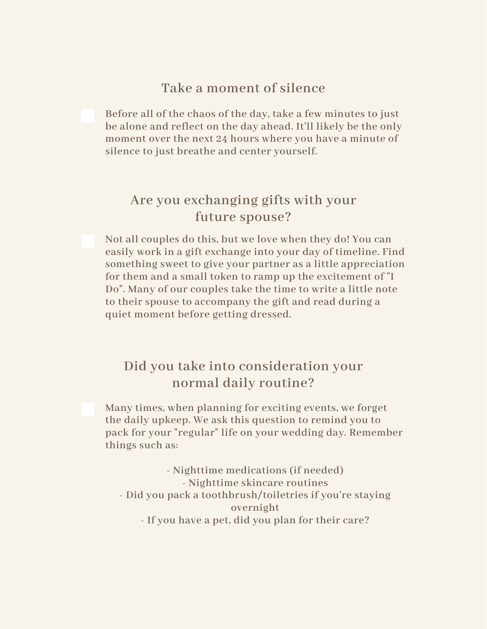#### **Take a moment of silence**

**Before all of the chaos of the day, take a few minutes to just be alone and reflect on the day ahead. It'll likely be the only moment over the next 24 hours where you have a minute of silence to just breathe and center yourself.**

# **Are you exchanging gifts with your future spouse?**

**Not all couples do this, but we love when they do! You can easily work in a gift exchange into your day of timeline. Find something sweet to give your partner as a little appreciation for them and a small token to ramp up the excitement of "I Do". Many of our couples take the time to write a little note to their spouse to accompany the gift and read during a quiet moment before getting dressed.**

### **Did you take into consideration your normal daily routine?**

**Many times, when planning for exciting events, we forget the daily upkeep. We ask this question to remind you to pack for your "regular" life on your wedding day. Remember things such as:**

**- Nighttime medications (if needed) - Nighttime skincare routines - Did you pack a toothbrush/toiletries if you're staying overnight - If you have a pet, did you plan for their care?**